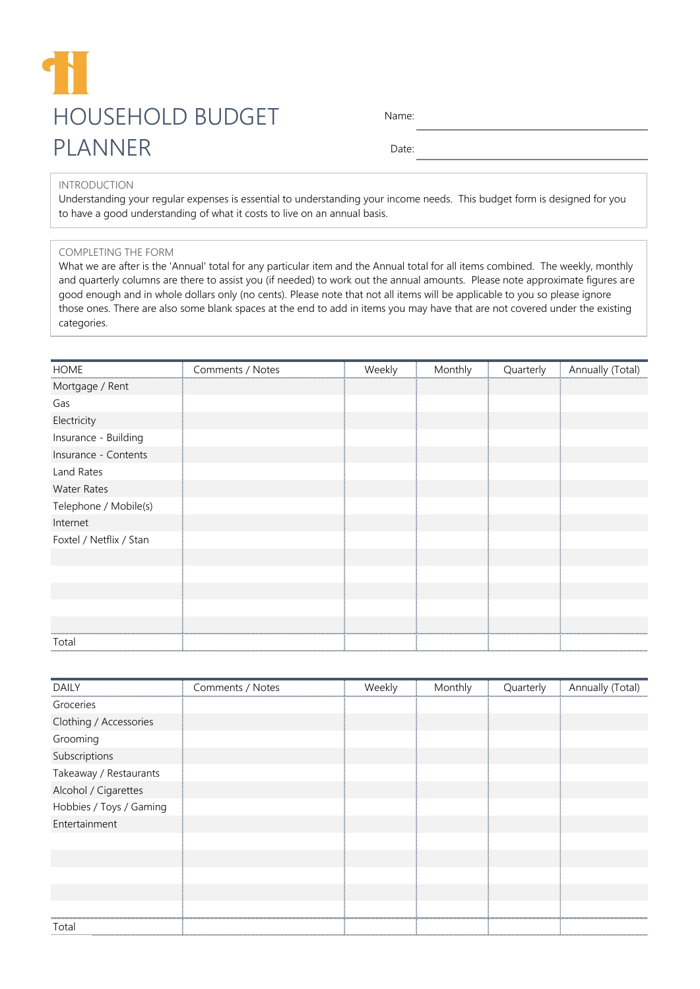## HOUSEHOLD BUDGET PLANNER

Name:

Date:

## INTRODUCTION

Understanding your regular expenses is essential to understanding your income needs. This budget form is designed for you to have a good understanding of what it costs to live on an annual basis.

## COMPLETING THE FORM

What we are after is the 'Annual' total for any particular item and the Annual total for all items combined. The weekly, monthly and quarterly columns are there to assist you (if needed) to work out the annual amounts. Please note approximate figures are good enough and in whole dollars only (no cents). Please note that not all items will be applicable to you so please ignore those ones. There are also some blank spaces at the end to add in items you may have that are not covered under the existing categories.

| <b>HOME</b>             | Comments / Notes | Weekly | Monthly | Quarterly | Annually (Total) |
|-------------------------|------------------|--------|---------|-----------|------------------|
| Mortgage / Rent         |                  |        |         |           |                  |
| Gas                     |                  |        |         |           |                  |
| Electricity             |                  |        |         |           |                  |
| Insurance - Building    |                  |        |         |           |                  |
| Insurance - Contents    |                  |        |         |           |                  |
| Land Rates              |                  |        |         |           |                  |
| <b>Water Rates</b>      |                  |        |         |           |                  |
| Telephone / Mobile(s)   |                  |        |         |           |                  |
| Internet                |                  |        |         |           |                  |
| Foxtel / Netflix / Stan |                  |        |         |           |                  |
|                         |                  |        |         |           |                  |
|                         |                  |        |         |           |                  |
|                         |                  |        |         |           |                  |
|                         |                  |        |         |           |                  |
|                         |                  |        |         |           |                  |
| Total                   |                  |        |         |           |                  |

| <b>DAILY</b>            | Comments / Notes | Weekly | Monthly | Quarterly | Annually (Total) |
|-------------------------|------------------|--------|---------|-----------|------------------|
| Groceries               |                  |        |         |           |                  |
| Clothing / Accessories  |                  |        |         |           |                  |
| Grooming                |                  |        |         |           |                  |
| Subscriptions           |                  |        |         |           |                  |
| Takeaway / Restaurants  |                  |        |         |           |                  |
| Alcohol / Cigarettes    |                  |        |         |           |                  |
| Hobbies / Toys / Gaming |                  |        |         |           |                  |
| Entertainment           |                  |        |         |           |                  |
|                         |                  |        |         |           |                  |
|                         |                  |        |         |           |                  |
|                         |                  |        |         |           |                  |
|                         |                  |        |         |           |                  |
|                         |                  |        |         |           |                  |
| Total                   |                  |        |         |           |                  |